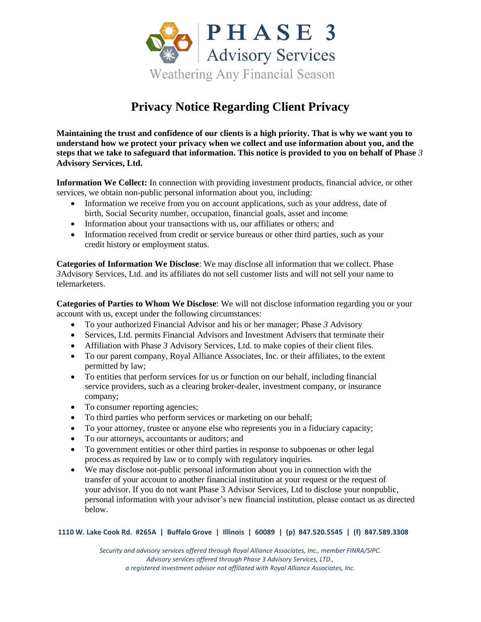

## **Privacy Notice Regarding Client Privacy**

**Maintaining the trust and confidence of our clients is a high priority. That is why we want you to understand how we protect your privacy when we collect and use information about you, and the steps that we take to safeguard that information. This notice is provided to you on behalf of Phase** *3*  **Advisory Services, Ltd.**

**Information We Collect:** In connection with providing investment products, financial advice, or other services, we obtain non-public personal information about you, including:

- Information we receive from you on account applications, such as your address, date of birth, Social Security number, occupation, financial goals, asset and income;
- Information about your transactions with us, our affiliates or others; and
- Information received from credit or service bureaus or other third parties, such as your credit history or employment status.

**Categories of Information We Disclose**: We may disclose all information that we collect. Phase *3*Advisory Services, Ltd. and its affiliates do not sell customer lists and will not sell your name to telemarketers.

**Categories of Parties to Whom We Disclose**: We will not disclose information regarding you or your account with us, except under the following circumstances:

- To your authorized Financial Advisor and his or her manager; Phase *3* Advisory
- Services, Ltd. permits Financial Advisors and Investment Advisers that terminate their
- Affiliation with Phase *3* Advisory Services, Ltd. to make copies of their client files.
- To our parent company, Royal Alliance Associates, Inc. or their affiliates, to the extent permitted by law;
- To entities that perform services for us or function on our behalf, including financial service providers, such as a clearing broker-dealer, investment company, or insurance company;
- To consumer reporting agencies;
- To third parties who perform services or marketing on our behalf;
- To your attorney, trustee or anyone else who represents you in a fiduciary capacity;
- To our attorneys, accountants or auditors; and
- To government entities or other third parties in response to subpoenas or other legal process as required by law or to comply with regulatory inquiries.
- We may disclose not-public personal information about you in connection with the transfer of your account to another financial institution at your request or the request of your advisor. If you do not want Phase 3 Advisor Services, Ltd to disclose your nonpublic, personal information with your advisor's new financial institution, please contact us as directed below.

## **1110 W. Lake Cook Rd. #265A | Buffalo Grove | Illinois | 60089 | (p) 847.520.5545 | (f) 847.589.3308**

*Security and advisory services offered through Royal Alliance Associates, Inc., member FINRA/SIPC. Advisory services offered through Phase 3 Advisory Services, LTD., a registered investment advisor not affiliated with Royal Alliance Associates, Inc.*